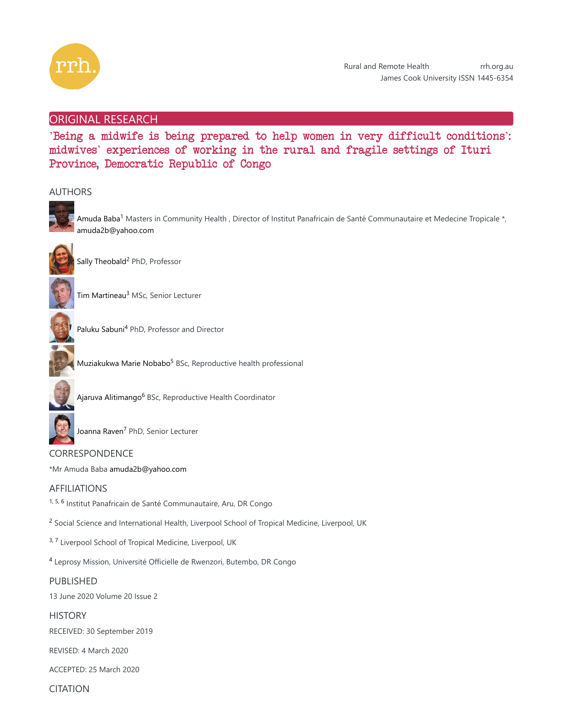

# ORIGINAL RESEARCH

'Being a midwife is being prepared to help women in very difficult conditions': midwives' experiences of working in the rural and fragile settings of Ituri Province, Democratic Republic of Congo

# AUTHORS



Amuda Baba<sup>1</sup> Masters in Community Health , Director of Institut Panafricain de Santé Communautaire et Medecine Tropicale \*, amuda2b@yahoo.com



Sally Theobald<sup>2</sup> PhD, Professor



Tim Martineau<sup>3</sup> MSc, Senior Lecturer



Paluku Sabuni<sup>4</sup> PhD, Professor and Director



Muziakukwa Marie Nobabo<sup>5</sup> BSc, Reproductive health professional



Ajaruva Alitimango<sup>6</sup> BSc, Reproductive Health Coordinator



Joanna Raven<sup>7</sup> PhD, Senior Lecturer

CORRESPONDENCE \*Mr Amuda Baba amuda2b@yahoo.com

# AFFILIATIONS

<sup>1, 5, 6</sup> Institut Panafricain de Santé Communautaire, Aru, DR Congo

<sup>2</sup> Social Science and International Health, Liverpool School of Tropical Medicine, Liverpool, UK

<sup>3, 7</sup> Liverpool School of Tropical Medicine, Liverpool, UK

<sup>4</sup> Leprosy Mission, Université Officielle de Rwenzori, Butembo, DR Congo

# PUBLISHED

13 June 2020 Volume 20 Issue 2

**HISTORY** 

RECEIVED: 30 September 2019

REVISED: 4 March 2020

ACCEPTED: 25 March 2020

CITATION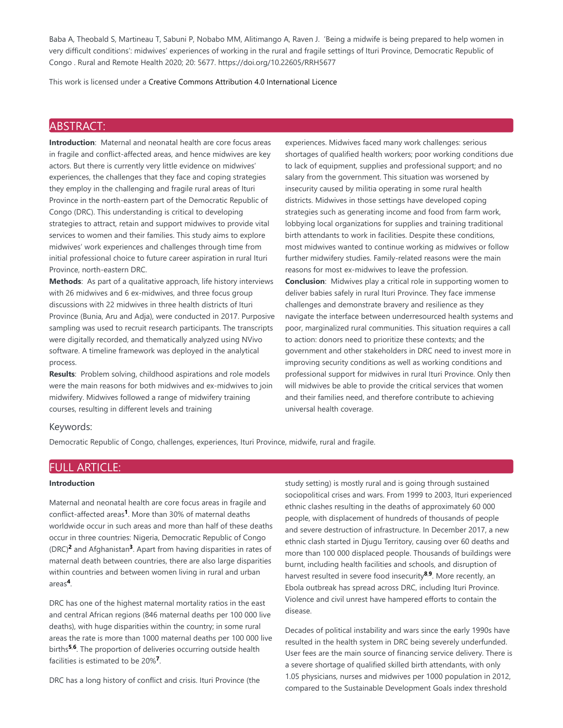Baba A, Theobald S, Martineau T, Sabuni P, Nobabo MM, Alitimango A, Raven J. 'Being a midwife is being prepared to help women in very difficult conditions': midwives' experiences of working in the rural and fragile settings of Ituri Province, Democratic Republic of Congo . Rural and Remote Health 2020; 20: 5677. https://doi.org/10.22605/RRH5677

This work is licensed under a Creative Commons Attribution 4.0 International Licence

# ABSTRACT:

**Introduction**: Maternal and neonatal health are core focus areas in fragile and conflict-affected areas, and hence midwives are key actors. But there is currently very little evidence on midwives' experiences, the challenges that they face and coping strategies they employ in the challenging and fragile rural areas of Ituri Province in the north-eastern part of the Democratic Republic of Congo (DRC). This understanding is critical to developing strategies to attract, retain and support midwives to provide vital services to women and their families. This study aims to explore midwives' work experiences and challenges through time from initial professional choice to future career aspiration in rural Ituri Province, north-eastern DRC.

**Methods**: As part of a qualitative approach, life history interviews with 26 midwives and 6 ex-midwives, and three focus group discussions with 22 midwives in three health districts of Ituri Province (Bunia, Aru and Adja), were conducted in 2017. Purposive sampling was used to recruit research participants. The transcripts were digitally recorded, and thematically analyzed using NVivo software. A timeline framework was deployed in the analytical process.

**Results**: Problem solving, childhood aspirations and role models were the main reasons for both midwives and ex-midwives to join midwifery. Midwives followed a range of midwifery training courses, resulting in different levels and training

experiences. Midwives faced many work challenges: serious shortages of qualified health workers; poor working conditions due to lack of equipment, supplies and professional support; and no salary from the government. This situation was worsened by insecurity caused by militia operating in some rural health districts. Midwives in those settings have developed coping strategies such as generating income and food from farm work, lobbying local organizations for supplies and training traditional birth attendants to work in facilities. Despite these conditions, most midwives wanted to continue working as midwives or follow further midwifery studies. Family-related reasons were the main reasons for most ex-midwives to leave the profession. **Conclusion**: Midwives play a critical role in supporting women to deliver babies safely in rural Ituri Province. They face immense challenges and demonstrate bravery and resilience as they navigate the interface between underresourced health systems and poor, marginalized rural communities. This situation requires a call to action: donors need to prioritize these contexts; and the government and other stakeholders in DRC need to invest more in improving security conditions as well as working conditions and professional support for midwives in rural Ituri Province. Only then will midwives be able to provide the critical services that women and their families need, and therefore contribute to achieving universal health coverage.

## Keywords:

Democratic Republic of Congo, challenges, experiences, Ituri Province, midwife, rural and fragile.

# FULL ARTICLE:

# **Introduction**

Maternal and neonatal health are core focus areas in fragile and conflict-affected areas<sup>1</sup>. More than 30% of maternal deaths worldwide occur in such areas and more than half of these deaths occur in three countries: Nigeria, Democratic Republic of Congo (DRC)<sup>2</sup> and Afghanistan<sup>3</sup>. Apart from having disparities in rates of maternal death between countries, there are also large disparities within countries and between women living in rural and urban areas<sup>4</sup>.

DRC has one of the highest maternal mortality ratios in the east and central African regions (846 maternal deaths per 100 000 live deaths), with huge disparities within the country; in some rural areas the rate is more than 1000 maternal deaths per 100 000 live births<sup>5,6</sup>. The proportion of deliveries occurring outside health facilities is estimated to be 20%<sup>7</sup>.

DRC has a long history of conflict and crisis. Ituri Province (the

study setting) is mostly rural and is going through sustained sociopolitical crises and wars. From 1999 to 2003, Ituri experienced ethnic clashes resulting in the deaths of approximately 60 000 people, with displacement of hundreds of thousands of people and severe destruction of infrastructure. In December 2017, a new ethnic clash started in Djugu Territory, causing over 60 deaths and more than 100 000 displaced people. Thousands of buildings were burnt, including health facilities and schools, and disruption of harvest resulted in severe food insecurity<sup>8,9</sup>. More recently, an Ebola outbreak has spread across DRC, including Ituri Province. Violence and civil unrest have hampered efforts to contain the disease.

Decades of political instability and wars since the early 1990s have resulted in the health system in DRC being severely underfunded. User fees are the main source of financing service delivery. There is a severe shortage of qualified skilled birth attendants, with only 1.05 physicians, nurses and midwives per 1000 population in 2012, compared to the Sustainable Development Goals index threshold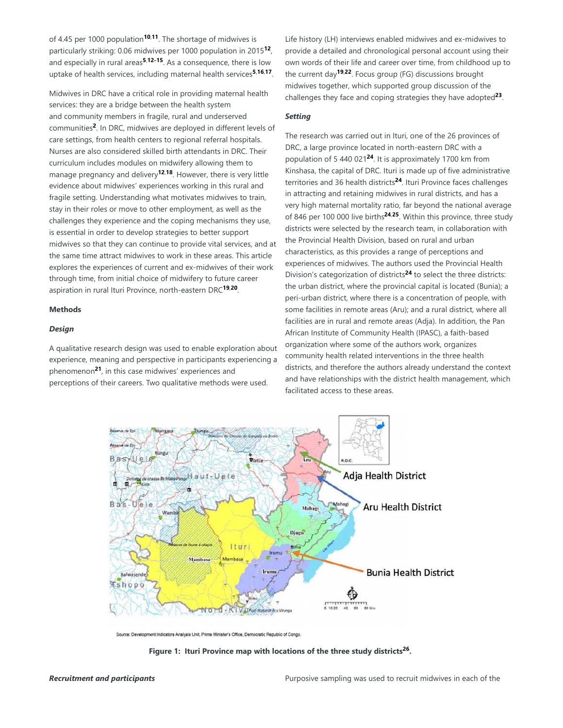of 4.45 per 1000 population<sup>10,11</sup>. The shortage of midwives is particularly striking: 0.06 midwives per 1000 population in 2015<sup>12</sup>, and especially in rural areas<sup>5,12-15</sup>. As a consequence, there is low uptake of health services, including maternal health services<sup>5,16,17</sup>.

Midwives in DRC have a critical role in providing maternal health services: they are a bridge between the health system and community members in fragile, rural and underserved communities<sup>2</sup>. In DRC, midwives are deployed in different levels of care settings, from health centers to regional referral hospitals. Nurses are also considered skilled birth attendants in DRC. Their curriculum includes modules on midwifery allowing them to manage pregnancy and delivery<sup>12,18</sup>. However, there is very little evidence about midwives' experiences working in this rural and fragile setting. Understanding what motivates midwives to train, stay in their roles or move to other employment, as well as the challenges they experience and the coping mechanisms they use, is essential in order to develop strategies to better support midwives so that they can continue to provide vital services, and at the same time attract midwives to work in these areas. This article explores the experiences of current and ex-midwives of their work through time, from initial choice of midwifery to future career aspiration in rural Ituri Province, north-eastern DRC<sup>19,20</sup>.

# **Methods**

## *Design*

A qualitative research design was used to enable exploration about experience, meaning and perspective in participants experiencing a phenomenon<sup>21</sup>, in this case midwives' experiences and perceptions of their careers. Two qualitative methods were used.

Life history (LH) interviews enabled midwives and ex-midwives to provide a detailed and chronological personal account using their own words of their life and career over time, from childhood up to the current day<sup>19,22</sup>. Focus group (FG) discussions brought midwives together, which supported group discussion of the challenges they face and coping strategies they have adopted<sup>23</sup>.

# *Setting*

The research was carried out in Ituri, one of the 26 provinces of DRC, a large province located in north-eastern DRC with a population of 5 440 021<sup>24</sup>. It is approximately 1700 km from Kinshasa, the capital of DRC. Ituri is made up of five administrative territories and 36 health districts<sup>24</sup>. Ituri Province faces challenges in attracting and retaining midwives in rural districts, and has a very high maternal mortality ratio, far beyond the national average of 846 per 100 000 live births<sup>24,25</sup>. Within this province, three study districts were selected by the research team, in collaboration with the Provincial Health Division, based on rural and urban characteristics, as this provides a range of perceptions and experiences of midwives. The authors used the Provincial Health Division's categorization of districts<sup>24</sup> to select the three districts: the urban district, where the provincial capital is located (Bunia); a peri-urban district, where there is a concentration of people, with some facilities in remote areas (Aru); and a rural district, where all facilities are in rural and remote areas (Adja). In addition, the Pan African Institute of Community Health (IPASC), a faith-based organization where some of the authors work, organizes community health related interventions in the three health districts, and therefore the authors already understand the context and have relationships with the district health management, which facilitated access to these areas.



Source: Development Indicators Analysis Unit, Prime Minister's Office, Democratic Republic of Congo.

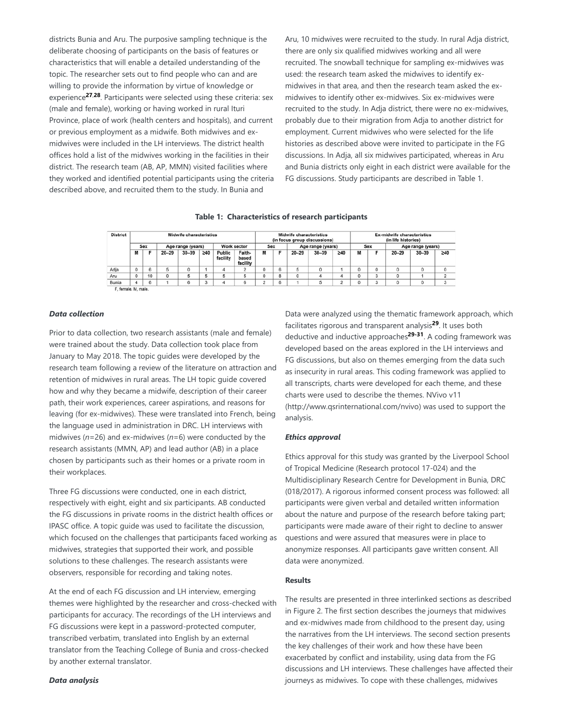districts Bunia and Aru. The purposive sampling technique is the deliberate choosing of participants on the basis of features or characteristics that will enable a detailed understanding of the topic. The researcher sets out to find people who can and are willing to provide the information by virtue of knowledge or experience<sup>27,28</sup>. Participants were selected using these criteria: sex (male and female), working or having worked in rural Ituri Province, place of work (health centers and hospitals), and current or previous employment as a midwife. Both midwives and exmidwives were included in the LH interviews. The district health offices hold a list of the midwives working in the facilities in their district. The research team (AB, AP, MMN) visited facilities where they worked and identified potential participants using the criteria described above, and recruited them to the study. In Bunia and

Aru, 10 midwives were recruited to the study. In rural Adja district, there are only six qualified midwives working and all were recruited. The snowball technique for sampling ex-midwives was used: the research team asked the midwives to identify exmidwives in that area, and then the research team asked the exmidwives to identify other ex-midwives. Six ex-midwives were recruited to the study. In Adja district, there were no ex-midwives, probably due to their migration from Adja to another district for employment. Current midwives who were selected for the life histories as described above were invited to participate in the FG discussions. In Adja, all six midwives participated, whereas in Aru and Bunia districts only eight in each district were available for the FG discussions. Study participants are described in Table 1.

| <b>District</b>     | <b>Midwife characteristics</b> |    |                   |           |           |                    |                             | <b>Midwife characteristics</b><br>(in focus group discussions) |   |                   |           |           | <b>Ex-midwife characteristics</b><br>(in life histories) |   |                   |           |           |
|---------------------|--------------------------------|----|-------------------|-----------|-----------|--------------------|-----------------------------|----------------------------------------------------------------|---|-------------------|-----------|-----------|----------------------------------------------------------|---|-------------------|-----------|-----------|
|                     | Sex                            |    | Age range (years) |           |           | Work sector        |                             | Sex                                                            |   | Age range (years) |           |           | Sex                                                      |   | Age range (years) |           |           |
|                     | М                              |    | $20 - 29$         | $30 - 39$ | $\geq 40$ | Public<br>facility | Faith-<br>based<br>facility | м                                                              |   | $20 - 29$         | $30 - 39$ | $\geq 40$ | м                                                        |   | $20 - 29$         | $30 - 39$ | $\geq 40$ |
| Adja                |                                |    | 5                 |           |           | л                  |                             | ٥                                                              | 6 | 5                 |           |           | 0                                                        | 0 | 0                 |           | 0         |
| Aru                 |                                | 10 | 0                 |           |           |                    |                             | ٥                                                              |   | O                 |           |           |                                                          | 3 | 0                 |           | $\sim$    |
| Bunia               |                                | 6  |                   |           | n.        |                    |                             |                                                                | 6 |                   | ь         | ÷         |                                                          | 3 | 0                 |           | 3         |
| F, female, M, male, |                                |    |                   |           |           |                    |                             |                                                                |   |                   |           |           |                                                          |   |                   |           |           |

#### **Table 1: Characteristics of research participants**

## *Data collection*

Prior to data collection, two research assistants (male and female) were trained about the study. Data collection took place from January to May 2018. The topic guides were developed by the research team following a review of the literature on attraction and retention of midwives in rural areas. The LH topic guide covered how and why they became a midwife, description of their career path, their work experiences, career aspirations, and reasons for leaving (for ex-midwives). These were translated into French, being the language used in administration in DRC. LH interviews with midwives (*n*=26) and ex-midwives (*n*=6) were conducted by the research assistants (MMN, AP) and lead author (AB) in a place chosen by participants such as their homes or a private room in their workplaces.

Three FG discussions were conducted, one in each district, respectively with eight, eight and six participants. AB conducted the FG discussions in private rooms in the district health offices or IPASC office. A topic guide was used to facilitate the discussion, which focused on the challenges that participants faced working as midwives, strategies that supported their work, and possible solutions to these challenges. The research assistants were observers, responsible for recording and taking notes.

At the end of each FG discussion and LH interview, emerging themes were highlighted by the researcher and cross-checked with participants for accuracy. The recordings of the LH interviews and FG discussions were kept in a password-protected computer, transcribed verbatim, translated into English by an external translator from the Teaching College of Bunia and cross-checked by another external translator.

#### *Data analysis*

Data were analyzed using the thematic framework approach, which facilitates rigorous and transparent analysis<sup>29</sup>. It uses both deductive and inductive approaches<sup>29-31</sup>. A coding framework was developed based on the areas explored in the LH interviews and FG discussions, but also on themes emerging from the data such as insecurity in rural areas. This coding framework was applied to all transcripts, charts were developed for each theme, and these charts were used to describe the themes. NVivo v11 (http://www.qsrinternational.com/nvivo) was used to support the analysis.

#### *Ethics approval*

Ethics approval for this study was granted by the Liverpool School of Tropical Medicine (Research protocol 17-024) and the Multidisciplinary Research Centre for Development in Bunia, DRC (018/2017). A rigorous informed consent process was followed: all participants were given verbal and detailed written information about the nature and purpose of the research before taking part; participants were made aware of their right to decline to answer questions and were assured that measures were in place to anonymize responses. All participants gave written consent. All data were anonymized.

#### **Results**

The results are presented in three interlinked sections as described in Figure 2. The first section describes the journeys that midwives and ex-midwives made from childhood to the present day, using the narratives from the LH interviews. The second section presents the key challenges of their work and how these have been exacerbated by conflict and instability, using data from the FG discussions and LH interviews. These challenges have affected their journeys as midwives. To cope with these challenges, midwives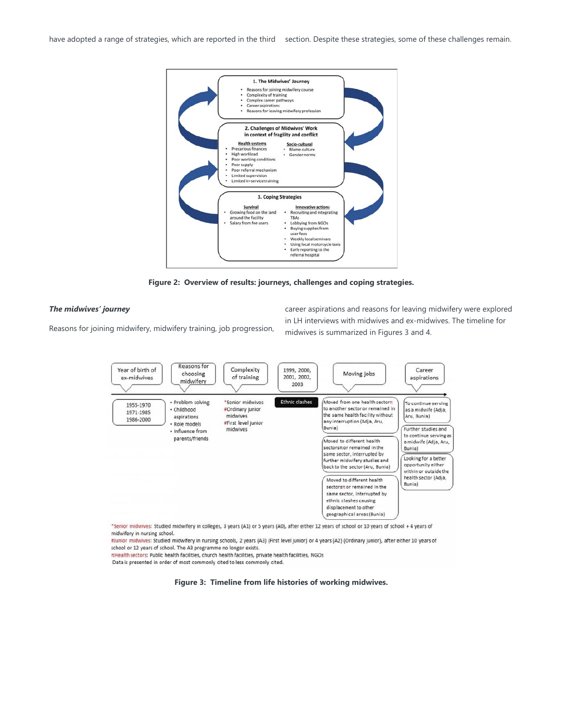have adopted a range of strategies, which are reported in the third section. Despite these strategies, some of these challenges remain.



**Figure 2: Overview of results: journeys, challenges and coping strategies.**

#### *The midwives' journey*

Reasons for joining midwifery, midwifery training, job progression,

career aspirations and reasons for leaving midwifery were explored in LH interviews with midwives and ex-midwives. The timeline for midwives is summarized in Figures 3 and 4.



\*Senior midwives: Studied midwifery in colleges, 3 years (A1) or 5 years (A0), after either 12 years of school or 10 years of school + 4 years of midwifery in nursing school.

#Junior midwives: Studied midwifery in nursing schools, 2 years (A3) (First level junior) or 4 years (A2) (Ordinary junior), after either 10 years of school or 12 years of school. The A3 programme no longer exists.

THealth sectors: Public health facilities, church health facilities, private health facilities, NGOs

Data is presented in order of most commonly cited to less commonly cited.

**Figure 3: Timeline from life histories of working midwives.**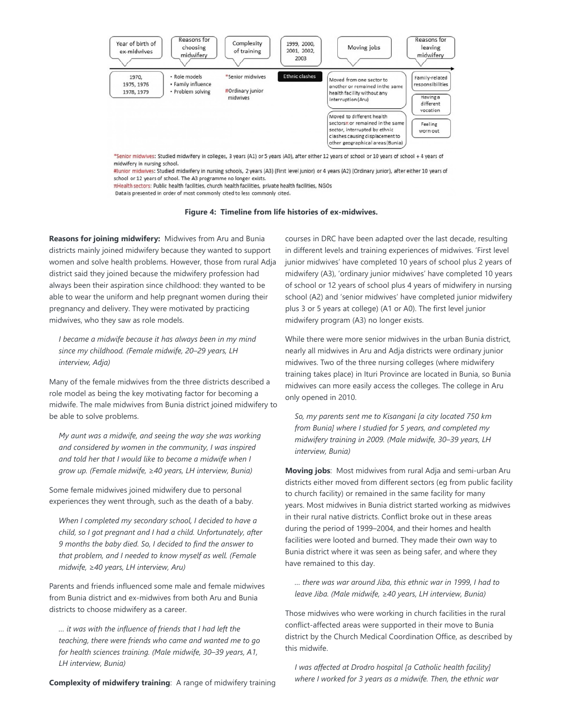

#Junior midwives: Studied midwifery in nursing schools, 2 years (A3) (First level junior) or 4 years (A2) (Ordinary junior), after either 10 years of school or 12 years of school. The A3 programme no longer exists.

πHealth sectors: Public health facilities, church health facilities, private health facilities, NGOs

Data is presented in order of most commonly cited to less commonly cited.

**Figure 4: Timeline from life histories of ex-midwives.**

**Reasons for joining midwifery:** Midwives from Aru and Bunia districts mainly joined midwifery because they wanted to support women and solve health problems. However, those from rural Adja district said they joined because the midwifery profession had always been their aspiration since childhood: they wanted to be able to wear the uniform and help pregnant women during their pregnancy and delivery. They were motivated by practicing midwives, who they saw as role models.

*I became a midwife because it has always been in my mind since my childhood. (Female midwife, 20–29 years, LH interview, Adja)*

Many of the female midwives from the three districts described a role model as being the key motivating factor for becoming a midwife. The male midwives from Bunia district joined midwifery to be able to solve problems.

*My aunt was a midwife, and seeing the way she was working and considered by women in the community, I was inspired and told her that I would like to become a midwife when I grow up. (Female midwife, ≥40 years, LH interview, Bunia)*

Some female midwives joined midwifery due to personal experiences they went through, such as the death of a baby.

*When I completed my secondary school, I decided to have a child, so I got pregnant and I had a child. Unfortunately, after 9 months the baby died. So, I decided to find the answer to that problem, and I needed to know myself as well. (Female midwife, ≥40 years, LH interview, Aru)*

Parents and friends influenced some male and female midwives from Bunia district and ex-midwives from both Aru and Bunia districts to choose midwifery as a career.

*… it was with the influence of friends that I had left the teaching, there were friends who came and wanted me to go for health sciences training. (Male midwife, 30–39 years, A1, LH interview, Bunia)*

courses in DRC have been adapted over the last decade, resulting in different levels and training experiences of midwives. 'First level junior midwives' have completed 10 years of school plus 2 years of midwifery (A3), 'ordinary junior midwives' have completed 10 years of school or 12 years of school plus 4 years of midwifery in nursing school (A2) and 'senior midwives' have completed junior midwifery plus 3 or 5 years at college) (A1 or A0). The first level junior midwifery program (A3) no longer exists.

While there were more senior midwives in the urban Bunia district, nearly all midwives in Aru and Adja districts were ordinary junior midwives. Two of the three nursing colleges (where midwifery training takes place) in Ituri Province are located in Bunia, so Bunia midwives can more easily access the colleges. The college in Aru only opened in 2010.

*So, my parents sent me to Kisangani [a city located 750 km from Bunia] where I studied for 5 years, and completed my midwifery training in 2009. (Male midwife, 30–39 years, LH interview, Bunia)*

**Moving jobs**: Most midwives from rural Adja and semi-urban Aru districts either moved from different sectors (eg from public facility to church facility) or remained in the same facility for many years. Most midwives in Bunia district started working as midwives in their rural native districts. Conflict broke out in these areas during the period of 1999–2004, and their homes and health facilities were looted and burned. They made their own way to Bunia district where it was seen as being safer, and where they have remained to this day.

*… there was war around Jiba, this ethnic war in 1999, I had to leave Jiba. (Male midwife, ≥40 years, LH interview, Bunia)*

Those midwives who were working in church facilities in the rural conflict-affected areas were supported in their move to Bunia district by the Church Medical Coordination Office, as described by this midwife.

*I was affected at Drodro hospital [a Catholic health facility] where I worked for 3 years as a midwife. Then, the ethnic war*

**Complexity of midwifery training**: A range of midwifery training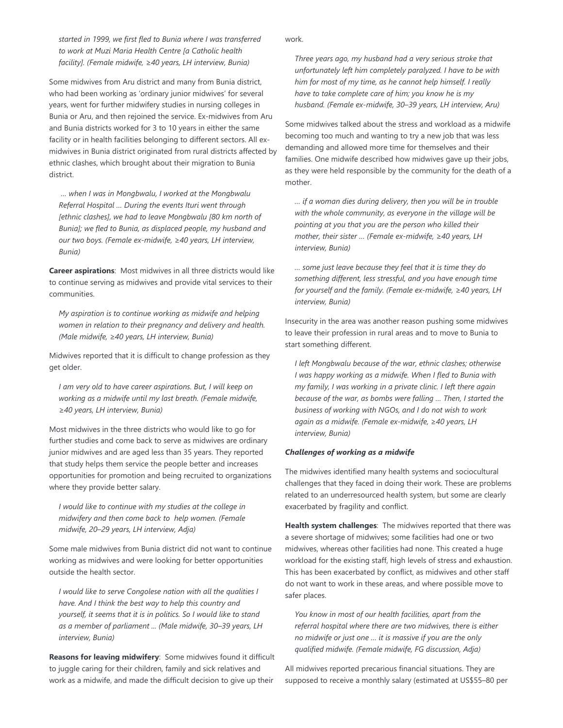*started in 1999, we first fled to Bunia where I was transferred to work at Muzi Maria Health Centre [a Catholic health facility]. (Female midwife, ≥40 years, LH interview, Bunia)*

Some midwives from Aru district and many from Bunia district, who had been working as 'ordinary junior midwives' for several years, went for further midwifery studies in nursing colleges in Bunia or Aru, and then rejoined the service. Ex-midwives from Aru and Bunia districts worked for 3 to 10 years in either the same facility or in health facilities belonging to different sectors. All exmidwives in Bunia district originated from rural districts affected by ethnic clashes, which brought about their migration to Bunia district.

*… when I was in Mongbwalu, I worked at the Mongbwalu Referral Hospital … During the events Ituri went through [ethnic clashes], we had to leave Mongbwalu [80 km north of Bunia]; we fled to Bunia, as displaced people, my husband and our two boys. (Female ex-midwife, ≥40 years, LH interview, Bunia)*

**Career aspirations**: Most midwives in all three districts would like to continue serving as midwives and provide vital services to their communities.

*My aspiration is to continue working as midwife and helping women in relation to their pregnancy and delivery and health. (Male midwife, ≥40 years, LH interview, Bunia)*

Midwives reported that it is difficult to change profession as they get older.

*I am very old to have career aspirations. But, I will keep on working as a midwife until my last breath. (Female midwife, ≥40 years, LH interview, Bunia)*

Most midwives in the three districts who would like to go for further studies and come back to serve as midwives are ordinary junior midwives and are aged less than 35 years. They reported that study helps them service the people better and increases opportunities for promotion and being recruited to organizations where they provide better salary.

*I would like to continue with my studies at the college in midwifery and then come back to help women. (Female midwife, 20–29 years, LH interview, Adja)*

Some male midwives from Bunia district did not want to continue working as midwives and were looking for better opportunities outside the health sector.

*I would like to serve Congolese nation with all the qualities I have. And I think the best way to help this country and yourself, it seems that it is in politics. So I would like to stand as a member of parliament ... (Male midwife, 30–39 years, LH interview, Bunia)*

**Reasons for leaving midwifery**: Some midwives found it difficult to juggle caring for their children, family and sick relatives and work as a midwife, and made the difficult decision to give up their

work.

*Three years ago, my husband had a very serious stroke that unfortunately left him completely paralyzed. I have to be with him for most of my time, as he cannot help himself. I really have to take complete care of him; you know he is my husband. (Female ex-midwife, 30–39 years, LH interview, Aru)*

Some midwives talked about the stress and workload as a midwife becoming too much and wanting to try a new job that was less demanding and allowed more time for themselves and their families. One midwife described how midwives gave up their jobs, as they were held responsible by the community for the death of a mother.

*… if a woman dies during delivery, then you will be in trouble with the whole community, as everyone in the village will be pointing at you that you are the person who killed their mother, their sister … (Female ex-midwife, ≥40 years, LH interview, Bunia)*

*… some just leave because they feel that it is time they do something different, less stressful, and you have enough time for yourself and the family. (Female ex-midwife, ≥40 years, LH interview, Bunia)*

Insecurity in the area was another reason pushing some midwives to leave their profession in rural areas and to move to Bunia to start something different.

*I left Mongbwalu because of the war, ethnic clashes; otherwise I was happy working as a midwife. When I fled to Bunia with my family, I was working in a private clinic. I left there again because of the war, as bombs were falling … Then, I started the business of working with NGOs, and I do not wish to work again as a midwife. (Female ex-midwife, ≥40 years, LH interview, Bunia)*

## *Challenges of working as a midwife*

The midwives identified many health systems and sociocultural challenges that they faced in doing their work. These are problems related to an underresourced health system, but some are clearly exacerbated by fragility and conflict.

**Health system challenges**: The midwives reported that there was a severe shortage of midwives; some facilities had one or two midwives, whereas other facilities had none. This created a huge workload for the existing staff, high levels of stress and exhaustion. This has been exacerbated by conflict, as midwives and other staff do not want to work in these areas, and where possible move to safer places.

*You know in most of our health facilities, apart from the referral hospital where there are two midwives, there is either no midwife or just one … it is massive if you are the only qualified midwife. (Female midwife, FG discussion, Adja)*

All midwives reported precarious financial situations. They are supposed to receive a monthly salary (estimated at US\$55–80 per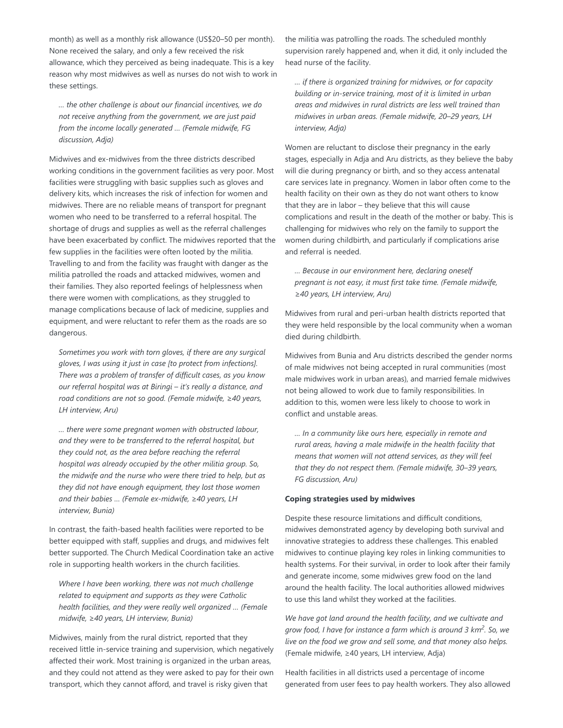month) as well as a monthly risk allowance (US\$20–50 per month). None received the salary, and only a few received the risk allowance, which they perceived as being inadequate. This is a key reason why most midwives as well as nurses do not wish to work in these settings.

*… the other challenge is about our financial incentives, we do not receive anything from the government, we are just paid from the income locally generated … (Female midwife, FG discussion, Adja)*

Midwives and ex-midwives from the three districts described working conditions in the government facilities as very poor. Most facilities were struggling with basic supplies such as gloves and delivery kits, which increases the risk of infection for women and midwives. There are no reliable means of transport for pregnant women who need to be transferred to a referral hospital. The shortage of drugs and supplies as well as the referral challenges have been exacerbated by conflict. The midwives reported that the few supplies in the facilities were often looted by the militia. Travelling to and from the facility was fraught with danger as the militia patrolled the roads and attacked midwives, women and their families. They also reported feelings of helplessness when there were women with complications, as they struggled to manage complications because of lack of medicine, supplies and equipment, and were reluctant to refer them as the roads are so dangerous.

*Sometimes you work with torn gloves, if there are any surgical gloves, I was using it just in case [to protect from infections]. There was a problem of transfer of difficult cases, as you know our referral hospital was at Biringi – it's really a distance, and road conditions are not so good. (Female midwife, ≥40 years, LH interview, Aru)*

*… there were some pregnant women with obstructed labour, and they were to be transferred to the referral hospital, but they could not, as the area before reaching the referral hospital was already occupied by the other militia group. So, the midwife and the nurse who were there tried to help, but as they did not have enough equipment, they lost those women and their babies … (Female ex-midwife, ≥40 years, LH interview, Bunia)*

In contrast, the faith-based health facilities were reported to be better equipped with staff, supplies and drugs, and midwives felt better supported. The Church Medical Coordination take an active role in supporting health workers in the church facilities.

*Where I have been working, there was not much challenge related to equipment and supports as they were Catholic health facilities, and they were really well organized … (Female midwife, ≥40 years, LH interview, Bunia)*

Midwives, mainly from the rural district, reported that they received little in-service training and supervision, which negatively affected their work. Most training is organized in the urban areas, and they could not attend as they were asked to pay for their own transport, which they cannot afford, and travel is risky given that

the militia was patrolling the roads. The scheduled monthly supervision rarely happened and, when it did, it only included the head nurse of the facility.

*… if there is organized training for midwives, or for capacity building or in-service training, most of it is limited in urban areas and midwives in rural districts are less well trained than midwives in urban areas. (Female midwife, 20–29 years, LH interview, Adja)*

Women are reluctant to disclose their pregnancy in the early stages, especially in Adja and Aru districts, as they believe the baby will die during pregnancy or birth, and so they access antenatal care services late in pregnancy. Women in labor often come to the health facility on their own as they do not want others to know that they are in labor – they believe that this will cause complications and result in the death of the mother or baby. This is challenging for midwives who rely on the family to support the women during childbirth, and particularly if complications arise and referral is needed.

*… Because in our environment here, declaring oneself pregnant is not easy, it must first take time. (Female midwife, ≥40 years, LH interview, Aru)*

Midwives from rural and peri-urban health districts reported that they were held responsible by the local community when a woman died during childbirth.

Midwives from Bunia and Aru districts described the gender norms of male midwives not being accepted in rural communities (most male midwives work in urban areas), and married female midwives not being allowed to work due to family responsibilities. In addition to this, women were less likely to choose to work in conflict and unstable areas.

*… In a community like ours here, especially in remote and rural areas, having a male midwife in the health facility that means that women will not attend services, as they will feel that they do not respect them. (Female midwife, 30–39 years, FG discussion, Aru)*

## **Coping strategies used by midwives**

Despite these resource limitations and difficult conditions, midwives demonstrated agency by developing both survival and innovative strategies to address these challenges. This enabled midwives to continue playing key roles in linking communities to health systems. For their survival, in order to look after their family and generate income, some midwives grew food on the land around the health facility. The local authorities allowed midwives to use this land whilst they worked at the facilities.

*We have got land around the health facility, and we cultivate and* grow food, I have for instance a farm which is around 3 km<sup>2</sup>. So, we *live on the food we grow and sell some, and that money also helps.* (Female midwife, ≥40 years, LH interview, Adja)

Health facilities in all districts used a percentage of income generated from user fees to pay health workers. They also allowed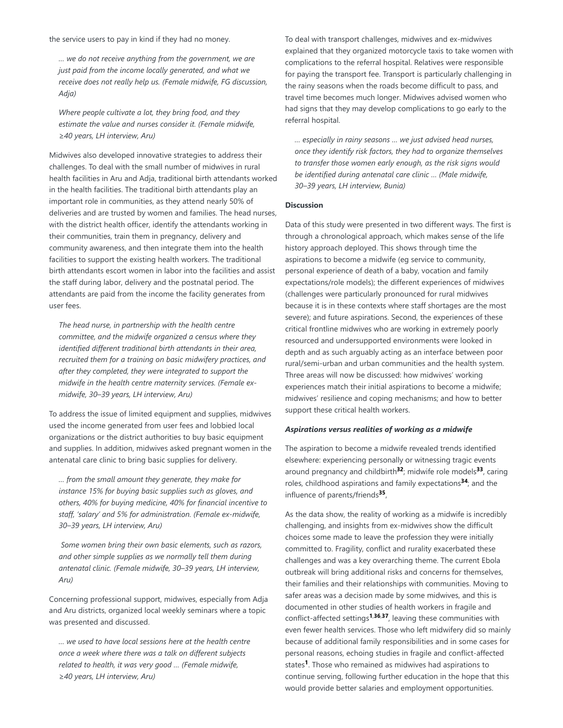the service users to pay in kind if they had no money.

*… we do not receive anything from the government, we are just paid from the income locally generated, and what we receive does not really help us. (Female midwife, FG discussion, Adja)*

*Where people cultivate a lot, they bring food, and they estimate the value and nurses consider it. (Female midwife, ≥40 years, LH interview, Aru)*

Midwives also developed innovative strategies to address their challenges. To deal with the small number of midwives in rural health facilities in Aru and Adja, traditional birth attendants worked in the health facilities. The traditional birth attendants play an important role in communities, as they attend nearly 50% of deliveries and are trusted by women and families. The head nurses, with the district health officer, identify the attendants working in their communities, train them in pregnancy, delivery and community awareness, and then integrate them into the health facilities to support the existing health workers. The traditional birth attendants escort women in labor into the facilities and assist the staff during labor, delivery and the postnatal period. The attendants are paid from the income the facility generates from user fees.

*The head nurse, in partnership with the health centre committee, and the midwife organized a census where they identified different traditional birth attendants in their area, recruited them for a training on basic midwifery practices, and after they completed, they were integrated to support the midwife in the health centre maternity services. (Female exmidwife, 30–39 years, LH interview, Aru)*

To address the issue of limited equipment and supplies, midwives used the income generated from user fees and lobbied local organizations or the district authorities to buy basic equipment and supplies. In addition, midwives asked pregnant women in the antenatal care clinic to bring basic supplies for delivery.

*… from the small amount they generate, they make for instance 15% for buying basic supplies such as gloves, and others, 40% for buying medicine, 40% for financial incentive to staff, 'salary' and 5% for administration. (Female ex-midwife, 30–39 years, LH interview, Aru)*

*Some women bring their own basic elements, such as razors, and other simple supplies as we normally tell them during antenatal clinic. (Female midwife, 30–39 years, LH interview, Aru)*

Concerning professional support, midwives, especially from Adja and Aru districts, organized local weekly seminars where a topic was presented and discussed.

*… we used to have local sessions here at the health centre once a week where there was a talk on different subjects related to health, it was very good … (Female midwife, ≥40 years, LH interview, Aru)*

To deal with transport challenges, midwives and ex-midwives explained that they organized motorcycle taxis to take women with complications to the referral hospital. Relatives were responsible for paying the transport fee. Transport is particularly challenging in the rainy seasons when the roads become difficult to pass, and travel time becomes much longer. Midwives advised women who had signs that they may develop complications to go early to the referral hospital.

*… especially in rainy seasons … we just advised head nurses, once they identify risk factors, they had to organize themselves to transfer those women early enough, as the risk signs would be identified during antenatal care clinic … (Male midwife, 30–39 years, LH interview, Bunia)*

#### **Discussion**

Data of this study were presented in two different ways. The first is through a chronological approach, which makes sense of the life history approach deployed. This shows through time the aspirations to become a midwife (eg service to community, personal experience of death of a baby, vocation and family expectations/role models); the different experiences of midwives (challenges were particularly pronounced for rural midwives because it is in these contexts where staff shortages are the most severe); and future aspirations. Second, the experiences of these critical frontline midwives who are working in extremely poorly resourced and undersupported environments were looked in depth and as such arguably acting as an interface between poor rural/semi-urban and urban communities and the health system. Three areas will now be discussed: how midwives' working experiences match their initial aspirations to become a midwife; midwives' resilience and coping mechanisms; and how to better support these critical health workers.

## *Aspirations versus realities of working as a midwife*

The aspiration to become a midwife revealed trends identified elsewhere: experiencing personally or witnessing tragic events around pregnancy and childbirth<sup>32</sup>; midwife role models<sup>33</sup>, caring roles, childhood aspirations and family expectations<sup>34</sup>; and the influence of parents/friends<sup>35</sup>,

As the data show, the reality of working as a midwife is incredibly challenging, and insights from ex-midwives show the difficult choices some made to leave the profession they were initially committed to. Fragility, conflict and rurality exacerbated these challenges and was a key overarching theme. The current Ebola outbreak will bring additional risks and concerns for themselves, their families and their relationships with communities. Moving to safer areas was a decision made by some midwives, and this is documented in other studies of health workers in fragile and conflict-affected settings<sup>1,36,37</sup>, leaving these communities with even fewer health services. Those who left midwifery did so mainly because of additional family responsibilities and in some cases for personal reasons, echoing studies in fragile and conflict-affected states<sup>1</sup>. Those who remained as midwives had aspirations to continue serving, following further education in the hope that this would provide better salaries and employment opportunities.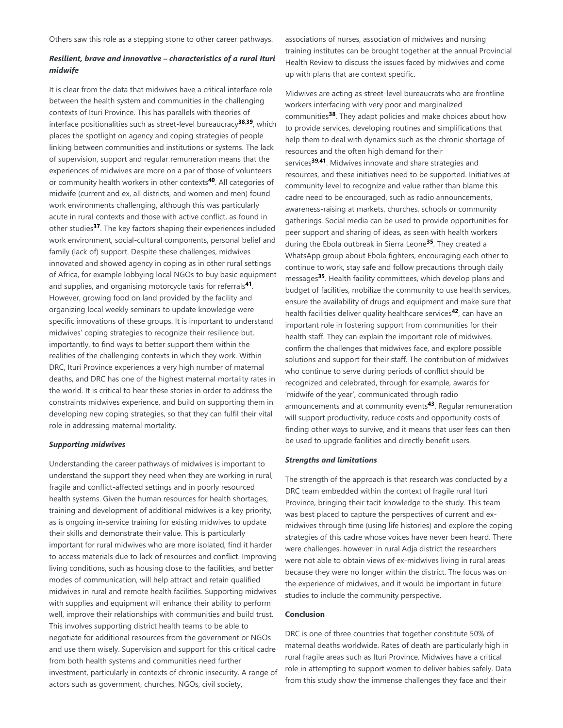Others saw this role as a stepping stone to other career pathways.

# *Resilient, brave and innovative – characteristics of a rural Ituri midwife*

It is clear from the data that midwives have a critical interface role between the health system and communities in the challenging contexts of Ituri Province. This has parallels with theories of interface positionalities such as street-level bureaucracy<sup>38,39</sup>, which places the spotlight on agency and coping strategies of people linking between communities and institutions or systems. The lack of supervision, support and regular remuneration means that the experiences of midwives are more on a par of those of volunteers or community health workers in other contexts<sup>40</sup>. All categories of midwife (current and ex, all districts, and women and men) found work environments challenging, although this was particularly acute in rural contexts and those with active conflict, as found in other studies<sup>37</sup>. The key factors shaping their experiences included work environment, social-cultural components, personal belief and family (lack of) support. Despite these challenges, midwives innovated and showed agency in coping as in other rural settings of Africa, for example lobbying local NGOs to buy basic equipment and supplies, and organising motorcycle taxis for referrals<sup>41</sup>. However, growing food on land provided by the facility and organizing local weekly seminars to update knowledge were specific innovations of these groups. It is important to understand midwives' coping strategies to recognize their resilience but, importantly, to find ways to better support them within the realities of the challenging contexts in which they work. Within DRC, Ituri Province experiences a very high number of maternal deaths, and DRC has one of the highest maternal mortality rates in the world. It is critical to hear these stories in order to address the constraints midwives experience, and build on supporting them in developing new coping strategies, so that they can fulfil their vital role in addressing maternal mortality.

## *Supporting midwives*

Understanding the career pathways of midwives is important to understand the support they need when they are working in rural, fragile and conflict-affected settings and in poorly resourced health systems. Given the human resources for health shortages, training and development of additional midwives is a key priority, as is ongoing in-service training for existing midwives to update their skills and demonstrate their value. This is particularly important for rural midwives who are more isolated, find it harder to access materials due to lack of resources and conflict. Improving living conditions, such as housing close to the facilities, and better modes of communication, will help attract and retain qualified midwives in rural and remote health facilities. Supporting midwives with supplies and equipment will enhance their ability to perform well, improve their relationships with communities and build trust. This involves supporting district health teams to be able to negotiate for additional resources from the government or NGOs and use them wisely. Supervision and support for this critical cadre from both health systems and communities need further investment, particularly in contexts of chronic insecurity. A range of actors such as government, churches, NGOs, civil society,

associations of nurses, association of midwives and nursing training institutes can be brought together at the annual Provincial Health Review to discuss the issues faced by midwives and come up with plans that are context specific.

Midwives are acting as street-level bureaucrats who are frontline workers interfacing with very poor and marginalized communities<sup>38</sup>. They adapt policies and make choices about how to provide services, developing routines and simplifications that help them to deal with dynamics such as the chronic shortage of resources and the often high demand for their services<sup>39,41</sup>. Midwives innovate and share strategies and resources, and these initiatives need to be supported. Initiatives at community level to recognize and value rather than blame this cadre need to be encouraged, such as radio announcements, awareness-raising at markets, churches, schools or community gatherings. Social media can be used to provide opportunities for peer support and sharing of ideas, as seen with health workers during the Ebola outbreak in Sierra Leone<sup>35</sup>. They created a WhatsApp group about Ebola fighters, encouraging each other to continue to work, stay safe and follow precautions through daily messages<sup>35</sup>. Health facility committees, which develop plans and budget of facilities, mobilize the community to use health services, ensure the availability of drugs and equipment and make sure that health facilities deliver quality healthcare services<sup>42</sup>, can have an important role in fostering support from communities for their health staff. They can explain the important role of midwives, confirm the challenges that midwives face, and explore possible solutions and support for their staff. The contribution of midwives who continue to serve during periods of conflict should be recognized and celebrated, through for example, awards for 'midwife of the year', communicated through radio announcements and at community events<sup>43</sup>. Regular remuneration will support productivity, reduce costs and opportunity costs of finding other ways to survive, and it means that user fees can then be used to upgrade facilities and directly benefit users.

## *Strengths and limitations*

The strength of the approach is that research was conducted by a DRC team embedded within the context of fragile rural Ituri Province, bringing their tacit knowledge to the study. This team was best placed to capture the perspectives of current and exmidwives through time (using life histories) and explore the coping strategies of this cadre whose voices have never been heard. There were challenges, however: in rural Adja district the researchers were not able to obtain views of ex-midwives living in rural areas because they were no longer within the district. The focus was on the experience of midwives, and it would be important in future studies to include the community perspective.

#### **Conclusion**

DRC is one of three countries that together constitute 50% of maternal deaths worldwide. Rates of death are particularly high in rural fragile areas such as Ituri Province. Midwives have a critical role in attempting to support women to deliver babies safely. Data from this study show the immense challenges they face and their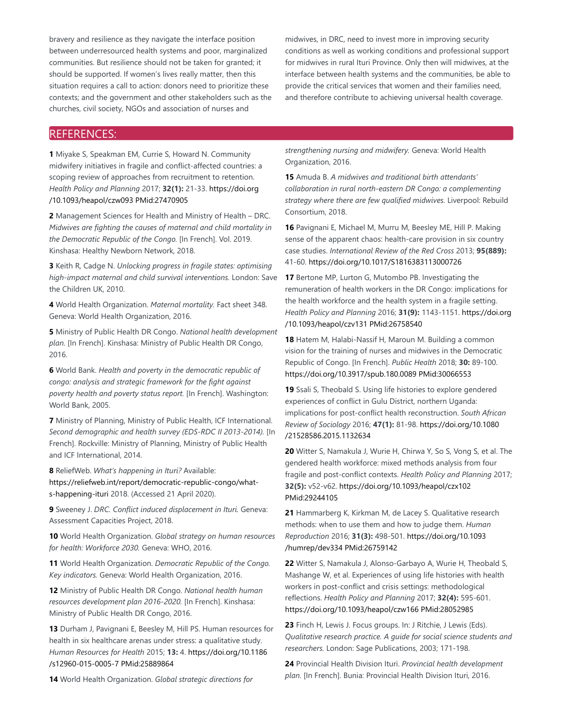bravery and resilience as they navigate the interface position between underresourced health systems and poor, marginalized communities. But resilience should not be taken for granted; it should be supported. If women's lives really matter, then this situation requires a call to action: donors need to prioritize these contexts; and the government and other stakeholders such as the churches, civil society, NGOs and association of nurses and

midwives, in DRC, need to invest more in improving security conditions as well as working conditions and professional support for midwives in rural Ituri Province. Only then will midwives, at the interface between health systems and the communities, be able to provide the critical services that women and their families need, and therefore contribute to achieving universal health coverage.

# REFERENCES:

**1** Miyake S, Speakman EM, Currie S, Howard N. Community midwifery initiatives in fragile and conflict-affected countries: a scoping review of approaches from recruitment to retention. *Health Policy and Planning* 2017; **32(1):** 21-33. https://doi.org /10.1093/heapol/czw093 PMid:27470905

**2** Management Sciences for Health and Ministry of Health – DRC. *Midwives are fighting the causes of maternal and child mortality in the Democratic Republic of the Congo.* [In French]. Vol. 2019. Kinshasa: Healthy Newborn Network, 2018.

**3** Keith R, Cadge N. *Unlocking progress in fragile states: optimising high-impact maternal and child survival interventions.* London: Save the Children UK, 2010.

**4** World Health Organization. *Maternal mortality.* Fact sheet 348. Geneva: World Health Organization, 2016.

**5** Ministry of Public Health DR Congo. *National health development plan.* [In French]. Kinshasa: Ministry of Public Health DR Congo, 2016.

**6** World Bank. *Health and poverty in the democratic republic of congo: analysis and strategic framework for the fight against poverty health and poverty status report.* [In French]. Washington: World Bank, 2005.

**7** Ministry of Planning, Ministry of Public Health, ICF International. *Second demographic and health survey (EDS-RDC II 2013-2014).* [In French]. Rockville: Ministry of Planning, Ministry of Public Health and ICF International, 2014.

**8** ReliefWeb. *What's happening in Ituri?* Available:

https://reliefweb.int/report/democratic-republic-congo/whats-happening-ituri 2018. (Accessed 21 April 2020).

**9** Sweeney J. *DRC. Conflict induced displacement in Ituri.* Geneva: Assessment Capacities Project, 2018.

**10** World Health Organization. *Global strategy on human resources for health: Workforce 2030.* Geneva: WHO, 2016.

**11** World Health Organization. *Democratic Republic of the Congo. Key indicators.* Geneva: World Health Organization, 2016.

**12** Ministry of Public Health DR Congo. *National health human resources development plan 2016-2020.* [In French]. Kinshasa: Ministry of Public Health DR Congo, 2016.

**13** Durham J, Pavignani E, Beesley M, Hill PS. Human resources for health in six healthcare arenas under stress: a qualitative study. *Human Resources for Health* 2015; **13:** 4. https://doi.org/10.1186 /s12960-015-0005-7 PMid:25889864

**14** World Health Organization. *Global strategic directions for*

*strengthening nursing and midwifery.* Geneva: World Health Organization, 2016.

**15** Amuda B. *A midwives and traditional birth attendants' collaboration in rural north-eastern DR Congo: a complementing strategy where there are few qualified midwives.* Liverpool: Rebuild Consortium, 2018.

**16** Pavignani E, Michael M, Murru M, Beesley ME, Hill P. Making sense of the apparent chaos: health-care provision in six country case studies. *International Review of the Red Cross* 2013; **95(889):** 41-60. https://doi.org/10.1017/S1816383113000726

**17** Bertone MP, Lurton G, Mutombo PB. Investigating the remuneration of health workers in the DR Congo: implications for the health workforce and the health system in a fragile setting. *Health Policy and Planning* 2016; **31(9):** 1143-1151. https://doi.org /10.1093/heapol/czv131 PMid:26758540

**18** Hatem M, Halabi-Nassif H, Maroun M. Building a common vision for the training of nurses and midwives in the Democratic Republic of Congo. [In French]. *Public Health* 2018; **30:** 89-100. https://doi.org/10.3917/spub.180.0089 PMid:30066553

**19** Ssali S, Theobald S. Using life histories to explore gendered experiences of conflict in Gulu District, northern Uganda: implications for post-conflict health reconstruction. *South African Review of Sociology* 2016; **47(1):** 81-98. https://doi.org/10.1080 /21528586.2015.1132634

**20** Witter S, Namakula J, Wurie H, Chirwa Y, So S, Vong S, et al. The gendered health workforce: mixed methods analysis from four fragile and post-conflict contexts. *Health Policy and Planning* 2017; **32(5):** v52-v62. https://doi.org/10.1093/heapol/czx102 PMid:29244105

**21** Hammarberg K, Kirkman M, de Lacey S. Qualitative research methods: when to use them and how to judge them. *Human Reproduction* 2016; **31(3):** 498-501. https://doi.org/10.1093 /humrep/dev334 PMid:26759142

**22** Witter S, Namakula J, Alonso-Garbayo A, Wurie H, Theobald S, Mashange W, et al. Experiences of using life histories with health workers in post-conflict and crisis settings: methodological reflections. *Health Policy and Planning* 2017; **32(4):** 595-601. https://doi.org/10.1093/heapol/czw166 PMid:28052985

**23** Finch H, Lewis J. Focus groups. In: J Ritchie, J Lewis (Eds). *Qualitative research practice. A guide for social science students and researchers.* London: Sage Publications, 2003; 171-198.

**24** Provincial Health Division Ituri. *Provincial health development plan.* [In French]. Bunia: Provincial Health Division Ituri, 2016.